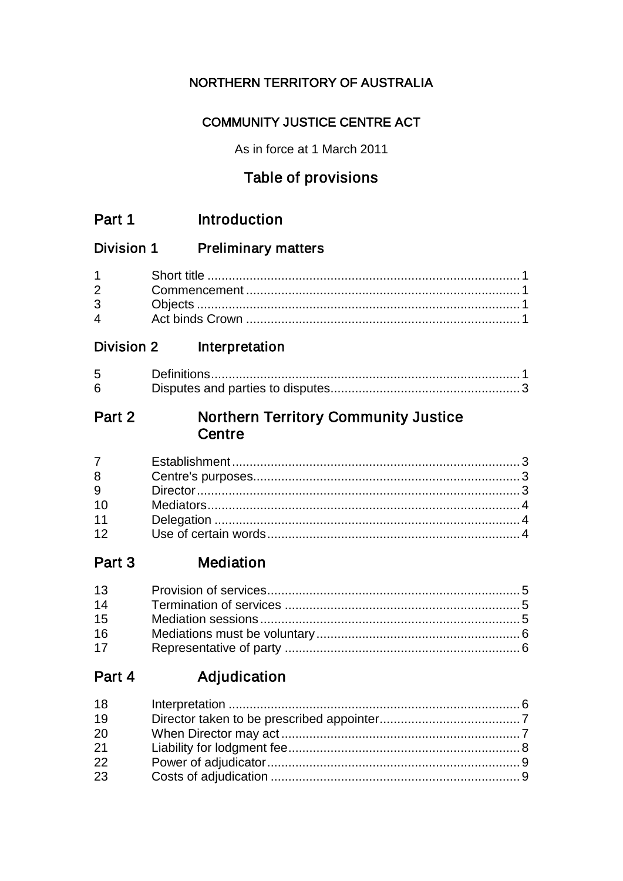## NORTHERN TERRITORY OF AUSTRALIA

## **COMMUNITY JUSTICE CENTRE ACT**

As in force at 1 March 2011

## Table of provisions

| Part 1 | Introduction |
|--------|--------------|
|--------|--------------|

#### Division 1 **Preliminary matters**

| $\mathbf{\Delta}$ |  |
|-------------------|--|

#### **Division 2** Interpretation

| 5 |  |
|---|--|
| 6 |  |

#### **Northern Territory Community Justice** Part 2 Centre

| $7 \quad$ |  |
|-----------|--|
| 8         |  |
| 9         |  |
| 10        |  |
| 11        |  |
| 12        |  |

#### **Mediation** Part 3

| 13 |  |
|----|--|
| 14 |  |
| 15 |  |
| 16 |  |
| 17 |  |

#### Adjudication Part 4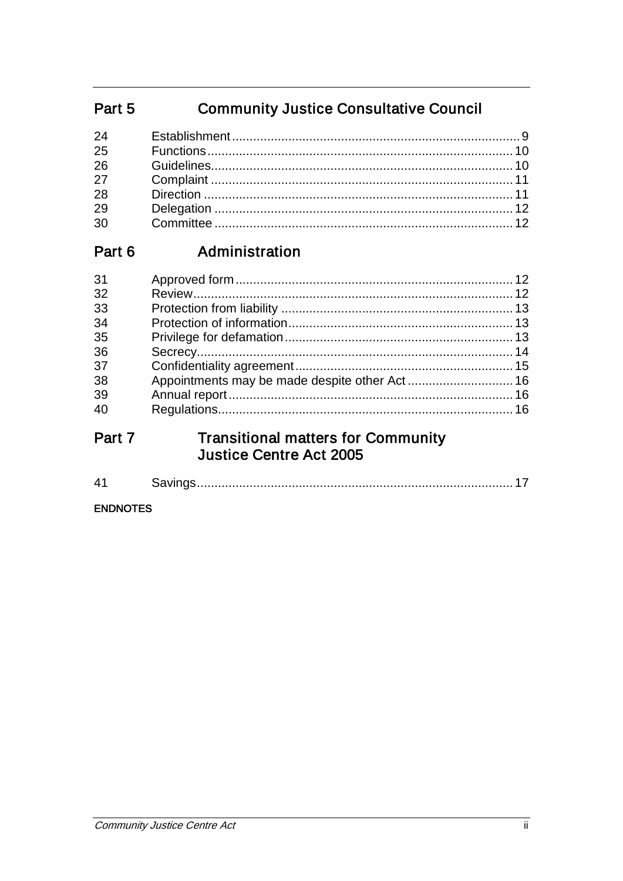#### **Community Justice Consultative Council** Part 5

| 25 |  |
|----|--|
| 26 |  |
|    |  |
| 28 |  |
| 29 |  |
| 30 |  |
|    |  |

#### Administration Part 6

| 31 |  |
|----|--|
| 32 |  |
| 33 |  |
| 34 |  |
| 35 |  |
| 36 |  |
| 37 |  |
| 38 |  |
| 39 |  |
| 40 |  |
|    |  |

## **Transitional matters for Community<br>Justice Centre Act 2005** Part 7

|--|--|--|--|

#### **ENDNOTES**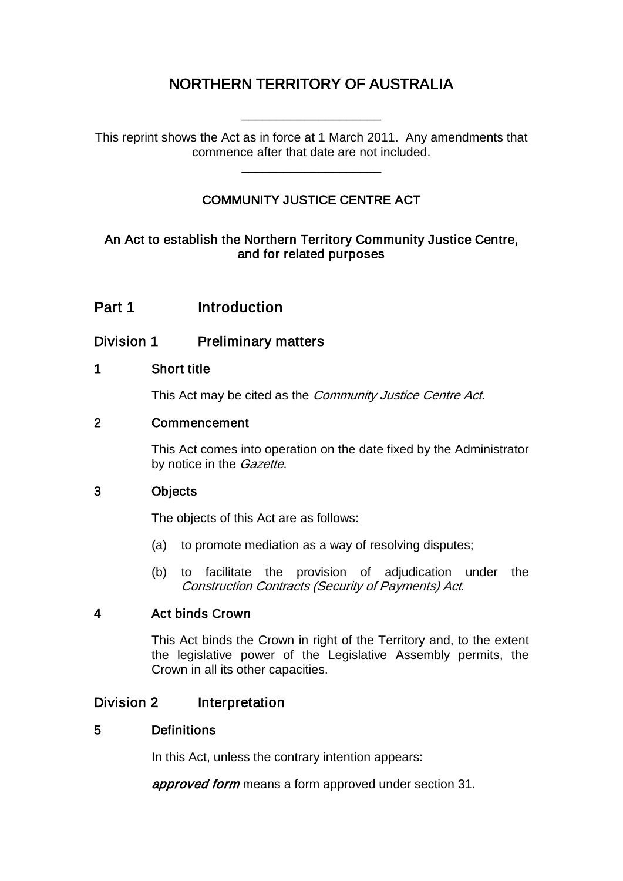## NORTHERN TERRITORY OF AUSTRALIA

\_\_\_\_\_\_\_\_\_\_\_\_\_\_\_\_\_\_\_\_

This reprint shows the Act as in force at 1 March 2011. Any amendments that commence after that date are not included.

\_\_\_\_\_\_\_\_\_\_\_\_\_\_\_\_\_\_\_\_

### COMMUNITY JUSTICE CENTRE ACT

### An Act to establish the Northern Territory Community Justice Centre, and for related purposes

## Part 1 Introduction

### Division 1 Preliminary matters

### 1 Short title

This Act may be cited as the *Community Justice Centre Act*.

### 2 Commencement

This Act comes into operation on the date fixed by the Administrator by notice in the *Gazette*.

### 3 Objects

The objects of this Act are as follows:

- (a) to promote mediation as a way of resolving disputes;
- (b) to facilitate the provision of adjudication under the Construction Contracts (Security of Payments) Act.

### 4 Act binds Crown

This Act binds the Crown in right of the Territory and, to the extent the legislative power of the Legislative Assembly permits, the Crown in all its other capacities.

### Division 2 Interpretation

### 5 Definitions

In this Act, unless the contrary intention appears:

approved form means a form approved under section 31.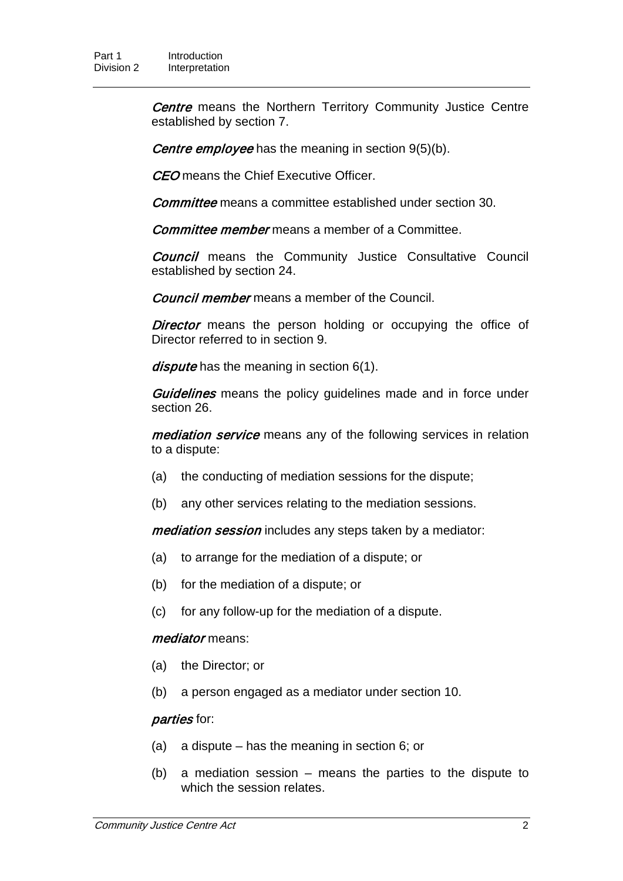**Centre** means the Northern Territory Community Justice Centre established by section 7.

Centre employee has the meaning in section 9(5)(b).

CEO means the Chief Executive Officer.

Committee means a committee established under section 30.

Committee member means a member of a Committee.

**Council** means the Community Justice Consultative Council established by section 24.

**Council member** means a member of the Council.

**Director** means the person holding or occupying the office of Director referred to in section 9.

dispute has the meaning in section 6(1).

**Guidelines** means the policy guidelines made and in force under section 26.

mediation service means any of the following services in relation to a dispute:

- (a) the conducting of mediation sessions for the dispute;
- (b) any other services relating to the mediation sessions.

mediation session includes any steps taken by a mediator:

- (a) to arrange for the mediation of a dispute; or
- (b) for the mediation of a dispute; or
- (c) for any follow-up for the mediation of a dispute.

#### mediator means:

- (a) the Director; or
- (b) a person engaged as a mediator under section 10.

#### parties for:

- (a) a dispute has the meaning in section 6; or
- (b) a mediation session means the parties to the dispute to which the session relates.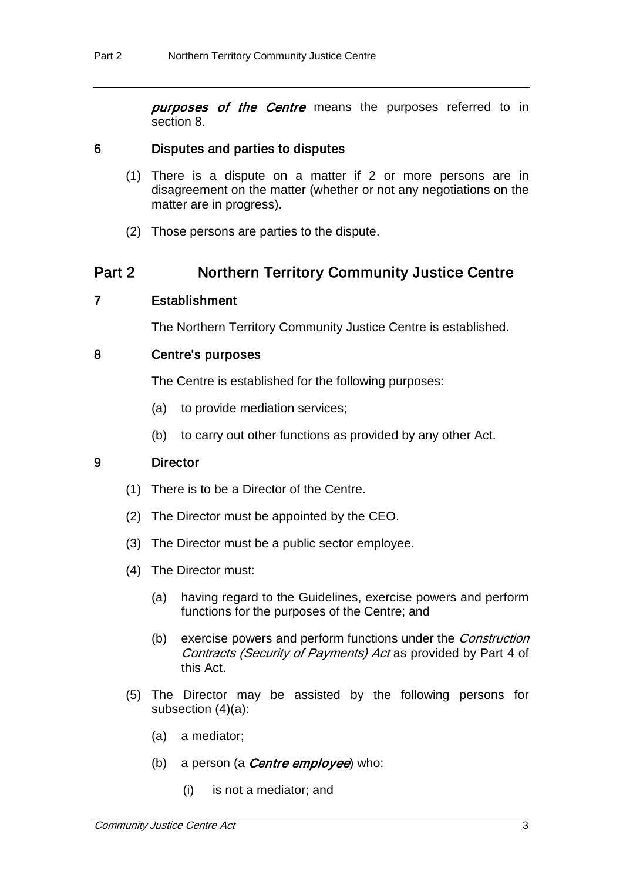**purposes of the Centre** means the purposes referred to in section 8.

#### 6 Disputes and parties to disputes

- (1) There is a dispute on a matter if 2 or more persons are in disagreement on the matter (whether or not any negotiations on the matter are in progress).
- (2) Those persons are parties to the dispute.

### Part 2 Northern Territory Community Justice Centre

#### 7 Establishment

The Northern Territory Community Justice Centre is established.

#### 8 Centre's purposes

The Centre is established for the following purposes:

- (a) to provide mediation services;
- (b) to carry out other functions as provided by any other Act.

#### 9 Director

- (1) There is to be a Director of the Centre.
- (2) The Director must be appointed by the CEO.
- (3) The Director must be a public sector employee.
- (4) The Director must:
	- (a) having regard to the Guidelines, exercise powers and perform functions for the purposes of the Centre; and
	- (b) exercise powers and perform functions under the Construction Contracts (Security of Payments) Act as provided by Part 4 of this Act.
- (5) The Director may be assisted by the following persons for subsection (4)(a):
	- (a) a mediator;
	- (b) a person (a **Centre employee**) who:
		- (i) is not a mediator; and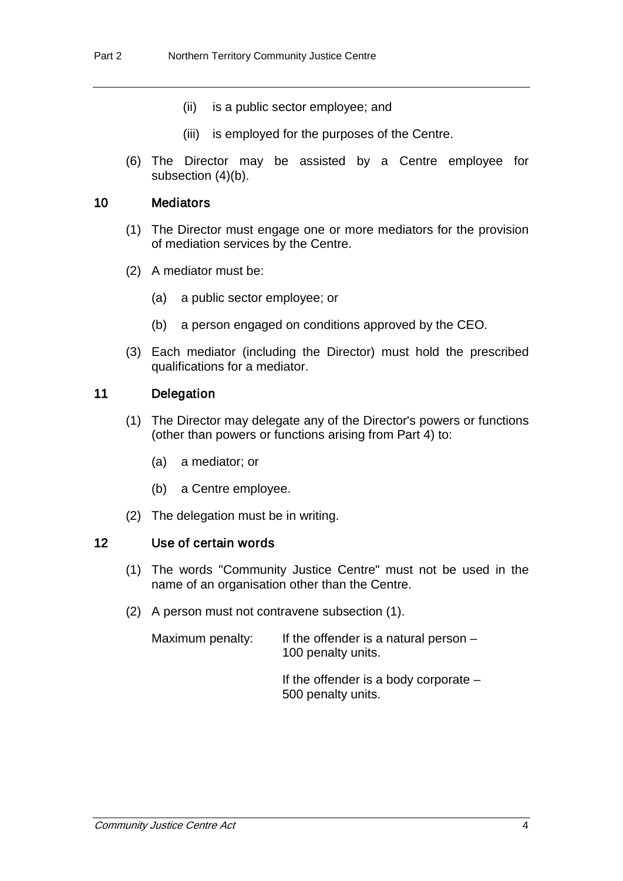- (ii) is a public sector employee; and
- (iii) is employed for the purposes of the Centre.
- (6) The Director may be assisted by a Centre employee for subsection (4)(b).

#### 10 Mediators

- (1) The Director must engage one or more mediators for the provision of mediation services by the Centre.
- (2) A mediator must be:
	- (a) a public sector employee; or
	- (b) a person engaged on conditions approved by the CEO.
- (3) Each mediator (including the Director) must hold the prescribed qualifications for a mediator.

#### 11 Delegation

- (1) The Director may delegate any of the Director's powers or functions (other than powers or functions arising from Part 4) to:
	- (a) a mediator; or
	- (b) a Centre employee.
- (2) The delegation must be in writing.

#### 12 Use of certain words

- (1) The words "Community Justice Centre" must not be used in the name of an organisation other than the Centre.
- (2) A person must not contravene subsection (1).

Maximum penalty: If the offender is a natural person  $-$ 100 penalty units.

> If the offender is a body corporate – 500 penalty units.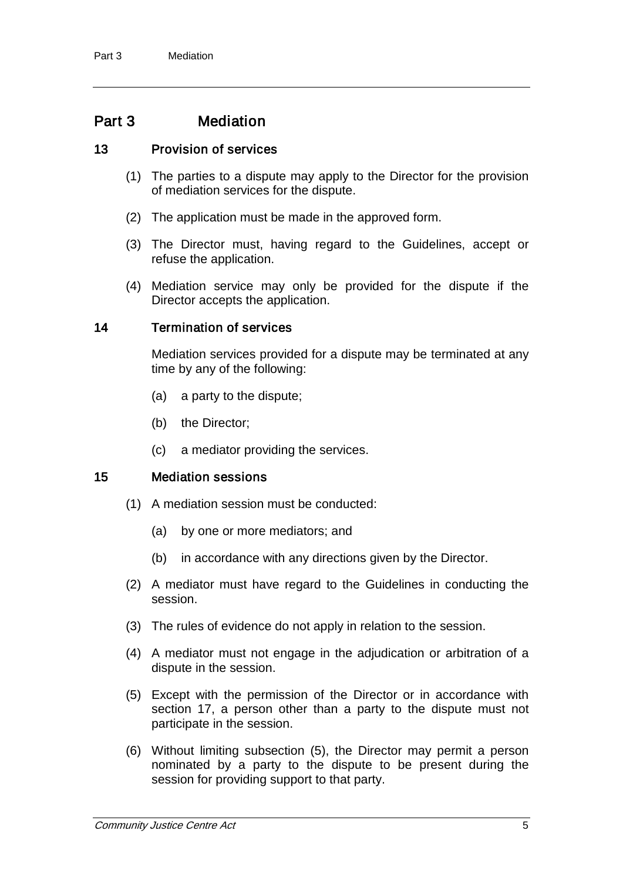## Part 3 Mediation

#### 13 Provision of services

- (1) The parties to a dispute may apply to the Director for the provision of mediation services for the dispute.
- (2) The application must be made in the approved form.
- (3) The Director must, having regard to the Guidelines, accept or refuse the application.
- (4) Mediation service may only be provided for the dispute if the Director accepts the application.

#### 14 Termination of services

Mediation services provided for a dispute may be terminated at any time by any of the following:

- (a) a party to the dispute;
- (b) the Director;
- (c) a mediator providing the services.

### 15 Mediation sessions

- (1) A mediation session must be conducted:
	- (a) by one or more mediators; and
	- (b) in accordance with any directions given by the Director.
- (2) A mediator must have regard to the Guidelines in conducting the session.
- (3) The rules of evidence do not apply in relation to the session.
- (4) A mediator must not engage in the adjudication or arbitration of a dispute in the session.
- (5) Except with the permission of the Director or in accordance with section 17, a person other than a party to the dispute must not participate in the session.
- (6) Without limiting subsection (5), the Director may permit a person nominated by a party to the dispute to be present during the session for providing support to that party.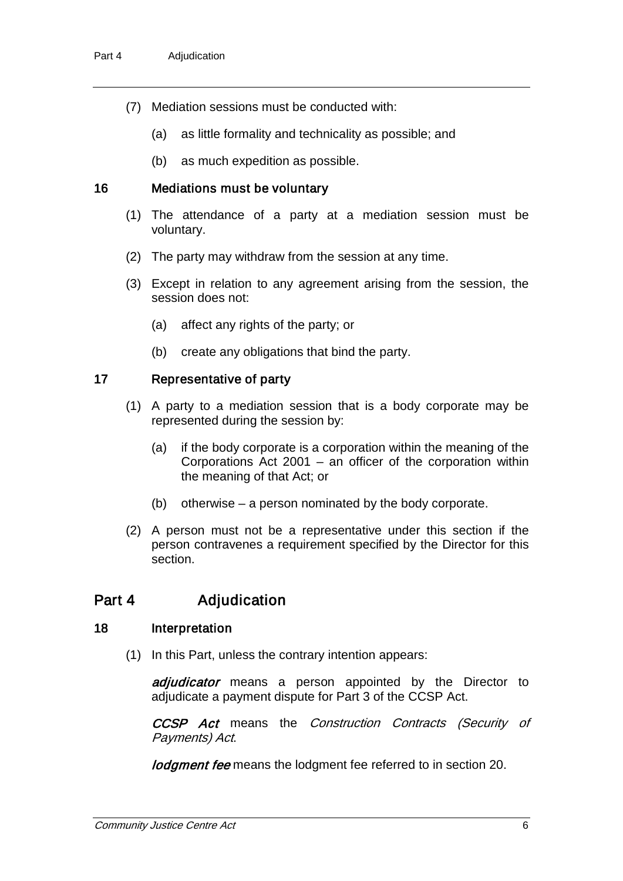- (7) Mediation sessions must be conducted with:
	- (a) as little formality and technicality as possible; and
	- (b) as much expedition as possible.

#### 16 Mediations must be voluntary

- (1) The attendance of a party at a mediation session must be voluntary.
- (2) The party may withdraw from the session at any time.
- (3) Except in relation to any agreement arising from the session, the session does not:
	- (a) affect any rights of the party; or
	- (b) create any obligations that bind the party.

#### 17 Representative of party

- (1) A party to a mediation session that is a body corporate may be represented during the session by:
	- (a) if the body corporate is a corporation within the meaning of the Corporations Act 2001 – an officer of the corporation within the meaning of that Act; or
	- (b) otherwise a person nominated by the body corporate.
- (2) A person must not be a representative under this section if the person contravenes a requirement specified by the Director for this section.

## Part 4 Adjudication

#### 18 Interpretation

(1) In this Part, unless the contrary intention appears:

adjudicator means a person appointed by the Director to adjudicate a payment dispute for Part 3 of the CCSP Act.

CCSP Act means the Construction Contracts (Security of Payments) Act.

*lodgment fee* means the lodgment fee referred to in section 20.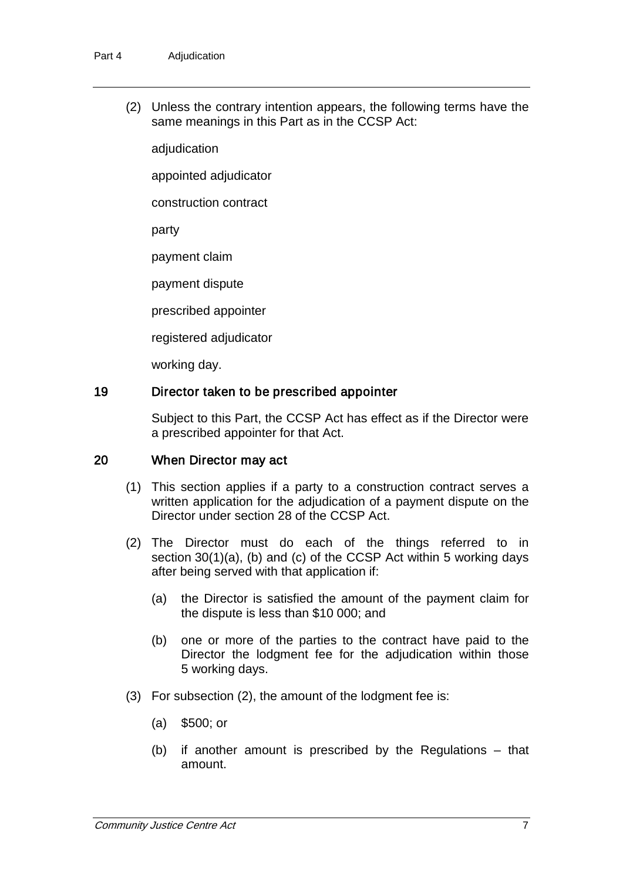(2) Unless the contrary intention appears, the following terms have the same meanings in this Part as in the CCSP Act:

adjudication

appointed adjudicator

construction contract

party

payment claim

payment dispute

prescribed appointer

registered adjudicator

working day.

#### 19 Director taken to be prescribed appointer

Subject to this Part, the CCSP Act has effect as if the Director were a prescribed appointer for that Act.

#### 20 When Director may act

- (1) This section applies if a party to a construction contract serves a written application for the adjudication of a payment dispute on the Director under section 28 of the CCSP Act.
- (2) The Director must do each of the things referred to in section 30(1)(a), (b) and (c) of the CCSP Act within 5 working days after being served with that application if:
	- (a) the Director is satisfied the amount of the payment claim for the dispute is less than \$10 000; and
	- (b) one or more of the parties to the contract have paid to the Director the lodgment fee for the adjudication within those 5 working days.
- (3) For subsection (2), the amount of the lodgment fee is:
	- (a) \$500; or
	- (b) if another amount is prescribed by the Regulations that amount.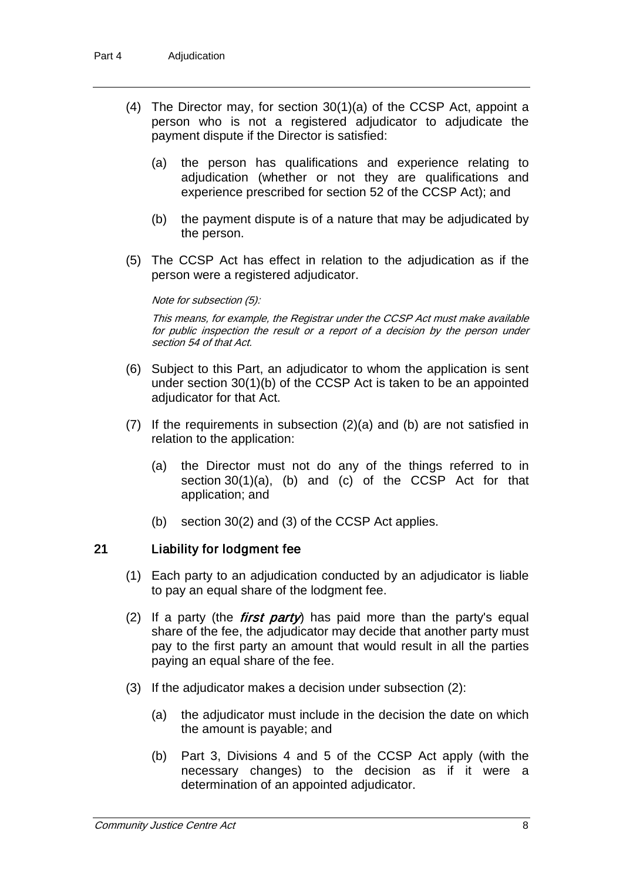- (4) The Director may, for section 30(1)(a) of the CCSP Act, appoint a person who is not a registered adjudicator to adjudicate the payment dispute if the Director is satisfied:
	- (a) the person has qualifications and experience relating to adjudication (whether or not they are qualifications and experience prescribed for section 52 of the CCSP Act); and
	- (b) the payment dispute is of a nature that may be adjudicated by the person.
- (5) The CCSP Act has effect in relation to the adjudication as if the person were a registered adjudicator.

#### Note for subsection (5):

This means, for example, the Registrar under the CCSP Act must make available for public inspection the result or a report of a decision by the person under section 54 of that Act.

- (6) Subject to this Part, an adjudicator to whom the application is sent under section 30(1)(b) of the CCSP Act is taken to be an appointed adjudicator for that Act.
- (7) If the requirements in subsection (2)(a) and (b) are not satisfied in relation to the application:
	- (a) the Director must not do any of the things referred to in section 30(1)(a), (b) and (c) of the CCSP Act for that application; and
	- (b) section 30(2) and (3) of the CCSP Act applies.

#### 21 Liability for lodgment fee

- (1) Each party to an adjudication conducted by an adjudicator is liable to pay an equal share of the lodgment fee.
- (2) If a party (the *first party*) has paid more than the party's equal share of the fee, the adjudicator may decide that another party must pay to the first party an amount that would result in all the parties paying an equal share of the fee.
- (3) If the adjudicator makes a decision under subsection (2):
	- (a) the adjudicator must include in the decision the date on which the amount is payable; and
	- (b) Part 3, Divisions 4 and 5 of the CCSP Act apply (with the necessary changes) to the decision as if it were a determination of an appointed adjudicator.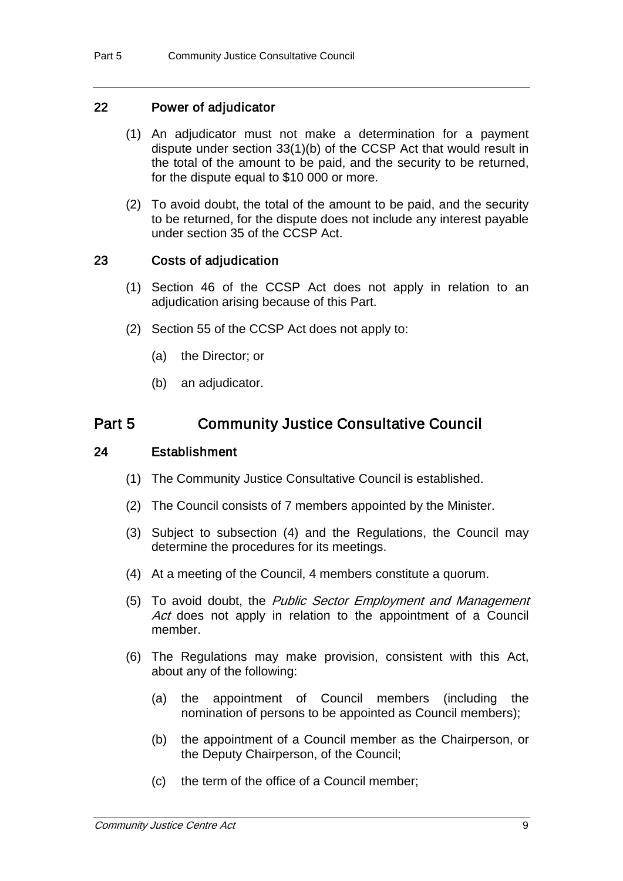#### 22 Power of adjudicator

- (1) An adjudicator must not make a determination for a payment dispute under section 33(1)(b) of the CCSP Act that would result in the total of the amount to be paid, and the security to be returned, for the dispute equal to \$10 000 or more.
- (2) To avoid doubt, the total of the amount to be paid, and the security to be returned, for the dispute does not include any interest payable under section 35 of the CCSP Act.

#### 23 Costs of adjudication

- (1) Section 46 of the CCSP Act does not apply in relation to an adjudication arising because of this Part.
- (2) Section 55 of the CCSP Act does not apply to:
	- (a) the Director; or
	- (b) an adjudicator.

### Part 5 Community Justice Consultative Council

#### 24 Establishment

- (1) The Community Justice Consultative Council is established.
- (2) The Council consists of 7 members appointed by the Minister.
- (3) Subject to subsection (4) and the Regulations, the Council may determine the procedures for its meetings.
- (4) At a meeting of the Council, 4 members constitute a quorum.
- (5) To avoid doubt, the Public Sector Employment and Management Act does not apply in relation to the appointment of a Council member.
- (6) The Regulations may make provision, consistent with this Act, about any of the following:
	- (a) the appointment of Council members (including the nomination of persons to be appointed as Council members);
	- (b) the appointment of a Council member as the Chairperson, or the Deputy Chairperson, of the Council;
	- (c) the term of the office of a Council member;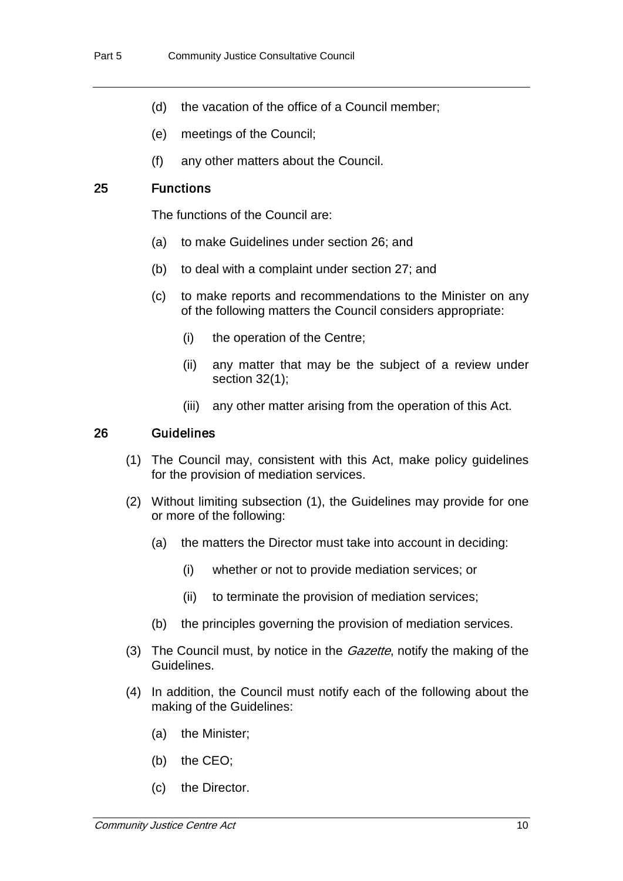- (d) the vacation of the office of a Council member;
- (e) meetings of the Council;
- (f) any other matters about the Council.

#### 25 Functions

The functions of the Council are:

- (a) to make Guidelines under section 26; and
- (b) to deal with a complaint under section 27; and
- (c) to make reports and recommendations to the Minister on any of the following matters the Council considers appropriate:
	- (i) the operation of the Centre;
	- (ii) any matter that may be the subject of a review under section 32(1);
	- (iii) any other matter arising from the operation of this Act.

#### 26 Guidelines

- (1) The Council may, consistent with this Act, make policy guidelines for the provision of mediation services.
- (2) Without limiting subsection (1), the Guidelines may provide for one or more of the following:
	- (a) the matters the Director must take into account in deciding:
		- (i) whether or not to provide mediation services; or
		- (ii) to terminate the provision of mediation services;
	- (b) the principles governing the provision of mediation services.
- (3) The Council must, by notice in the *Gazette*, notify the making of the Guidelines.
- (4) In addition, the Council must notify each of the following about the making of the Guidelines:
	- (a) the Minister;
	- (b) the CEO;
	- (c) the Director.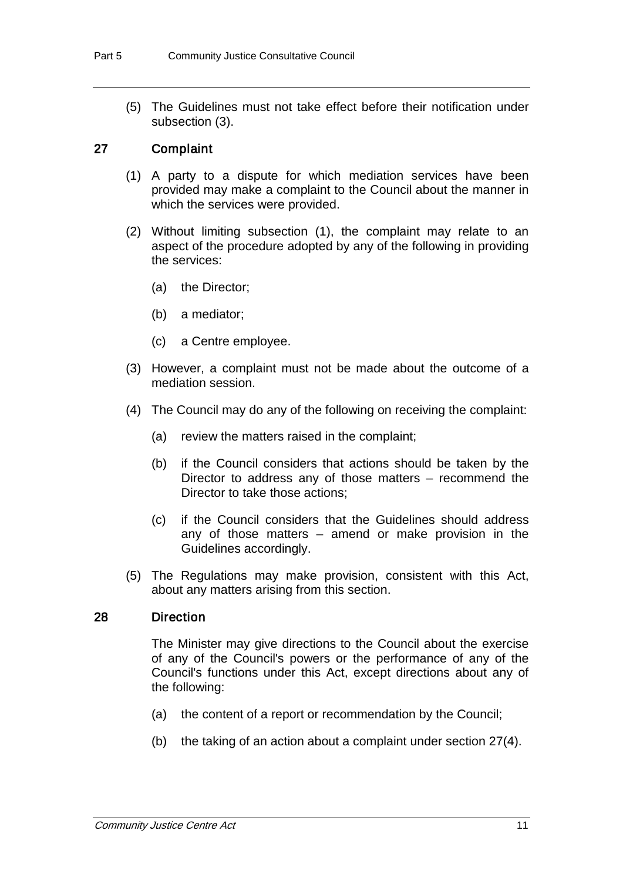(5) The Guidelines must not take effect before their notification under subsection (3).

#### 27 Complaint

- (1) A party to a dispute for which mediation services have been provided may make a complaint to the Council about the manner in which the services were provided.
- (2) Without limiting subsection (1), the complaint may relate to an aspect of the procedure adopted by any of the following in providing the services:
	- (a) the Director;
	- (b) a mediator;
	- (c) a Centre employee.
- (3) However, a complaint must not be made about the outcome of a mediation session.
- (4) The Council may do any of the following on receiving the complaint:
	- (a) review the matters raised in the complaint;
	- (b) if the Council considers that actions should be taken by the Director to address any of those matters – recommend the Director to take those actions;
	- (c) if the Council considers that the Guidelines should address any of those matters – amend or make provision in the Guidelines accordingly.
- (5) The Regulations may make provision, consistent with this Act, about any matters arising from this section.

#### 28 Direction

The Minister may give directions to the Council about the exercise of any of the Council's powers or the performance of any of the Council's functions under this Act, except directions about any of the following:

- (a) the content of a report or recommendation by the Council;
- (b) the taking of an action about a complaint under section 27(4).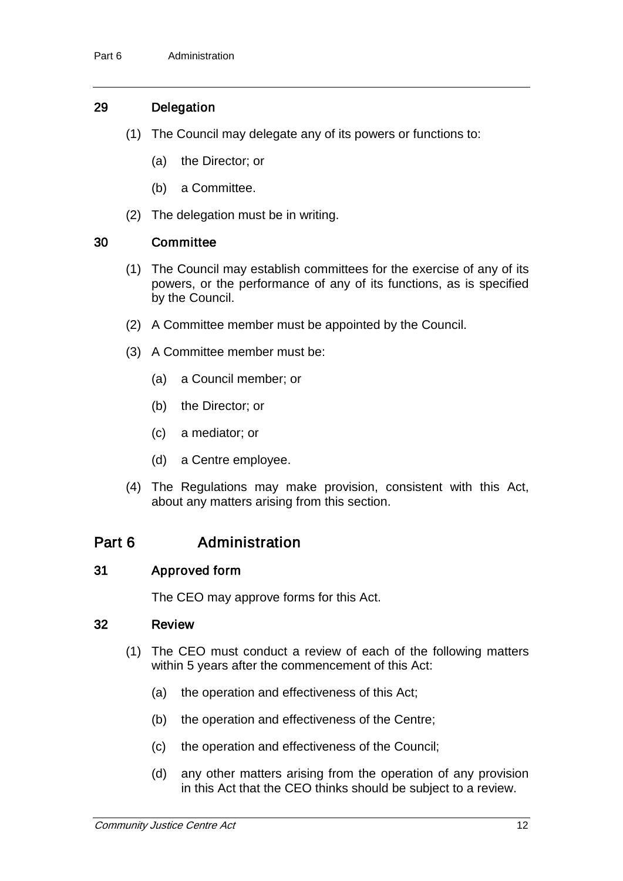### 29 Delegation

- (1) The Council may delegate any of its powers or functions to:
	- (a) the Director; or
	- (b) a Committee.
- (2) The delegation must be in writing.

### 30 Committee

- (1) The Council may establish committees for the exercise of any of its powers, or the performance of any of its functions, as is specified by the Council.
- (2) A Committee member must be appointed by the Council.
- (3) A Committee member must be:
	- (a) a Council member; or
	- (b) the Director; or
	- (c) a mediator; or
	- (d) a Centre employee.
- (4) The Regulations may make provision, consistent with this Act, about any matters arising from this section.

## Part 6 **Administration**

### 31 Approved form

The CEO may approve forms for this Act.

#### 32 Review

- (1) The CEO must conduct a review of each of the following matters within 5 years after the commencement of this Act:
	- (a) the operation and effectiveness of this Act;
	- (b) the operation and effectiveness of the Centre;
	- (c) the operation and effectiveness of the Council;
	- (d) any other matters arising from the operation of any provision in this Act that the CEO thinks should be subject to a review.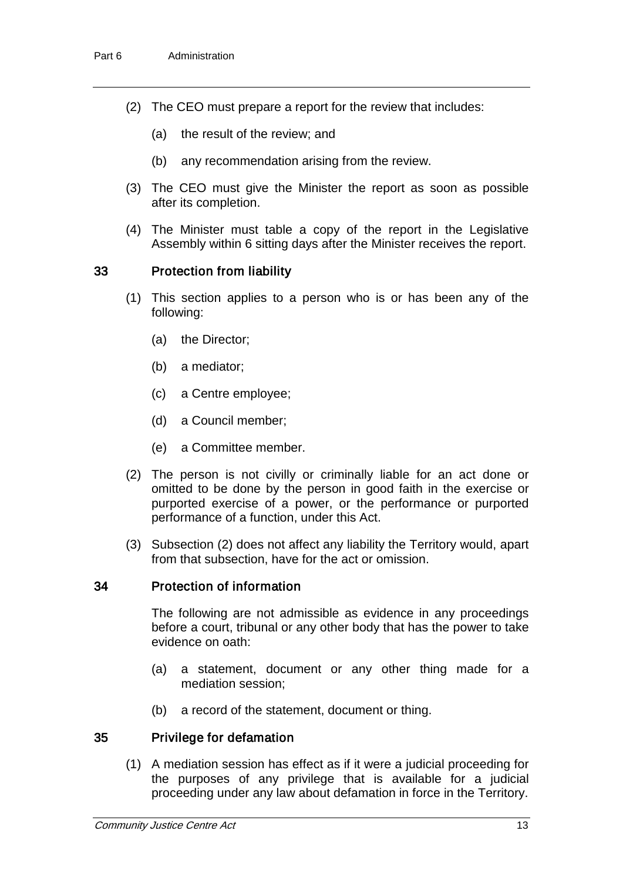- (2) The CEO must prepare a report for the review that includes:
	- (a) the result of the review; and
	- (b) any recommendation arising from the review.
- (3) The CEO must give the Minister the report as soon as possible after its completion.
- (4) The Minister must table a copy of the report in the Legislative Assembly within 6 sitting days after the Minister receives the report.

#### 33 Protection from liability

- (1) This section applies to a person who is or has been any of the following:
	- (a) the Director;
	- (b) a mediator;
	- (c) a Centre employee;
	- (d) a Council member;
	- (e) a Committee member.
- (2) The person is not civilly or criminally liable for an act done or omitted to be done by the person in good faith in the exercise or purported exercise of a power, or the performance or purported performance of a function, under this Act.
- (3) Subsection (2) does not affect any liability the Territory would, apart from that subsection, have for the act or omission.

#### 34 Protection of information

The following are not admissible as evidence in any proceedings before a court, tribunal or any other body that has the power to take evidence on oath:

- (a) a statement, document or any other thing made for a mediation session;
- (b) a record of the statement, document or thing.

#### 35 Privilege for defamation

(1) A mediation session has effect as if it were a judicial proceeding for the purposes of any privilege that is available for a judicial proceeding under any law about defamation in force in the Territory.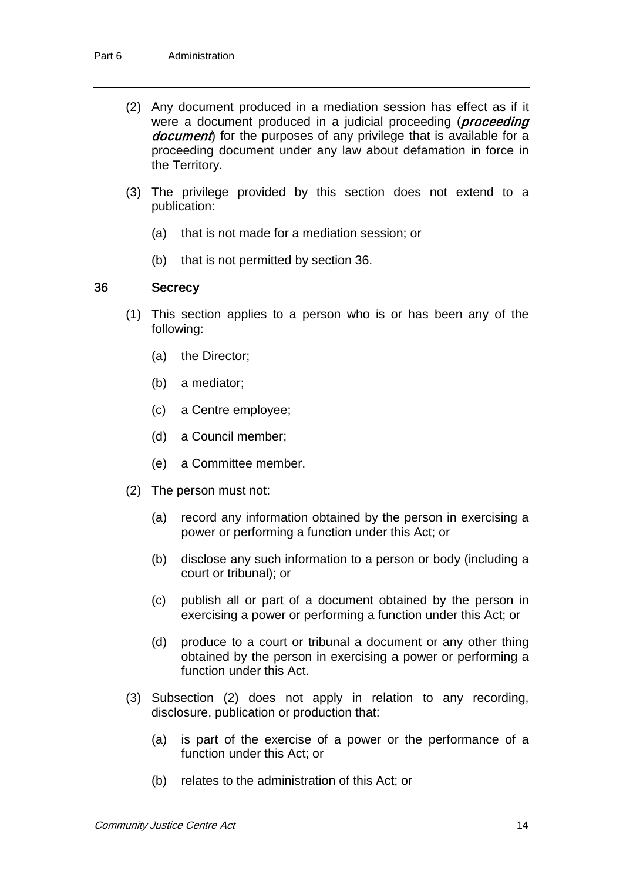- (2) Any document produced in a mediation session has effect as if it were a document produced in a judicial proceeding (*proceeding* document) for the purposes of any privilege that is available for a proceeding document under any law about defamation in force in the Territory.
- (3) The privilege provided by this section does not extend to a publication:
	- (a) that is not made for a mediation session; or
	- (b) that is not permitted by section 36.

#### 36 Secrecy

- (1) This section applies to a person who is or has been any of the following:
	- (a) the Director;
	- (b) a mediator;
	- (c) a Centre employee;
	- (d) a Council member;
	- (e) a Committee member.
- (2) The person must not:
	- (a) record any information obtained by the person in exercising a power or performing a function under this Act; or
	- (b) disclose any such information to a person or body (including a court or tribunal); or
	- (c) publish all or part of a document obtained by the person in exercising a power or performing a function under this Act; or
	- (d) produce to a court or tribunal a document or any other thing obtained by the person in exercising a power or performing a function under this Act.
- (3) Subsection (2) does not apply in relation to any recording, disclosure, publication or production that:
	- (a) is part of the exercise of a power or the performance of a function under this Act; or
	- (b) relates to the administration of this Act; or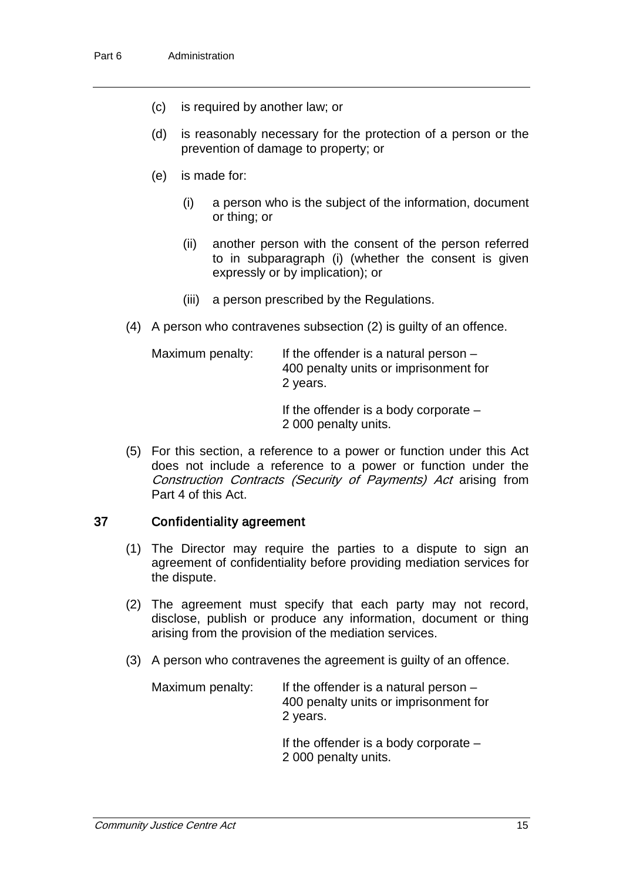- (c) is required by another law; or
- (d) is reasonably necessary for the protection of a person or the prevention of damage to property; or
- (e) is made for:
	- (i) a person who is the subject of the information, document or thing; or
	- (ii) another person with the consent of the person referred to in subparagraph (i) (whether the consent is given expressly or by implication); or
	- (iii) a person prescribed by the Regulations.
- (4) A person who contravenes subsection (2) is guilty of an offence.

| Maximum penalty: | If the offender is a natural person $-$<br>400 penalty units or imprisonment for<br>2 years. |
|------------------|----------------------------------------------------------------------------------------------|
|                  | If the effected and a character compositor                                                   |

If the offender is a body corporate – 2 000 penalty units.

(5) For this section, a reference to a power or function under this Act does not include a reference to a power or function under the Construction Contracts (Security of Payments) Act arising from Part 4 of this Act.

#### 37 Confidentiality agreement

- (1) The Director may require the parties to a dispute to sign an agreement of confidentiality before providing mediation services for the dispute.
- (2) The agreement must specify that each party may not record, disclose, publish or produce any information, document or thing arising from the provision of the mediation services.
- (3) A person who contravenes the agreement is guilty of an offence.

| Maximum penalty: | If the offender is a natural person $-$<br>400 penalty units or imprisonment for<br>2 years. |
|------------------|----------------------------------------------------------------------------------------------|
|                  |                                                                                              |

If the offender is a body corporate – 2 000 penalty units.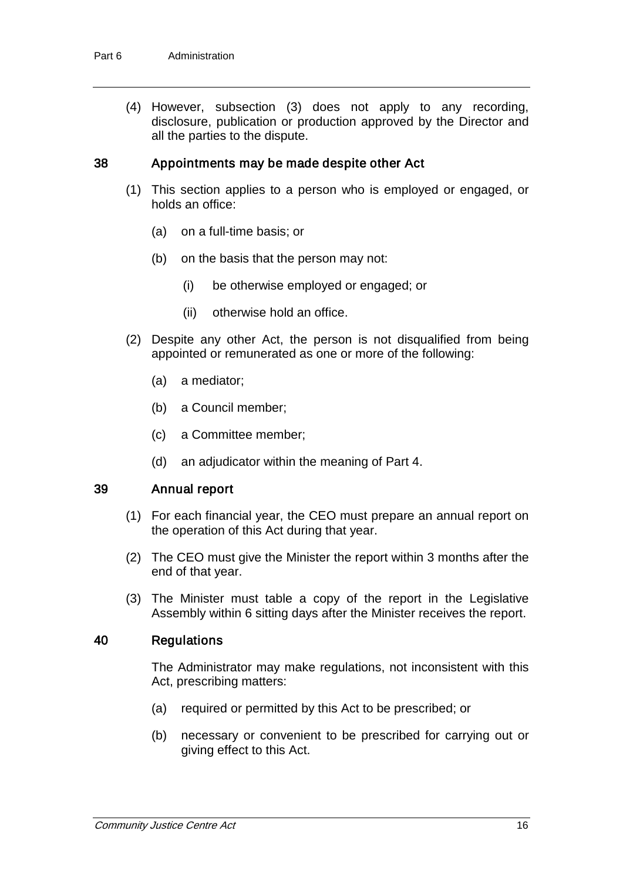(4) However, subsection (3) does not apply to any recording, disclosure, publication or production approved by the Director and all the parties to the dispute.

#### 38 Appointments may be made despite other Act

- (1) This section applies to a person who is employed or engaged, or holds an office:
	- (a) on a full-time basis; or
	- (b) on the basis that the person may not:
		- (i) be otherwise employed or engaged; or
		- (ii) otherwise hold an office.
- (2) Despite any other Act, the person is not disqualified from being appointed or remunerated as one or more of the following:
	- (a) a mediator;
	- (b) a Council member;
	- (c) a Committee member;
	- (d) an adjudicator within the meaning of Part 4.

#### 39 Annual report

- (1) For each financial year, the CEO must prepare an annual report on the operation of this Act during that year.
- (2) The CEO must give the Minister the report within 3 months after the end of that year.
- (3) The Minister must table a copy of the report in the Legislative Assembly within 6 sitting days after the Minister receives the report.

#### 40 Regulations

The Administrator may make regulations, not inconsistent with this Act, prescribing matters:

- (a) required or permitted by this Act to be prescribed; or
- (b) necessary or convenient to be prescribed for carrying out or giving effect to this Act.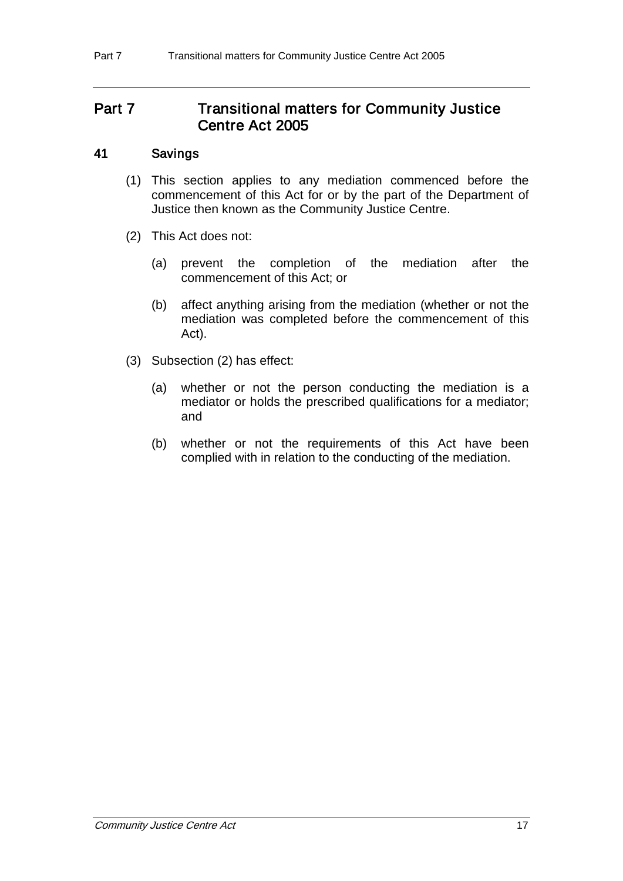## Part 7 Transitional matters for Community Justice Centre Act 2005

#### 41 Savings

- (1) This section applies to any mediation commenced before the commencement of this Act for or by the part of the Department of Justice then known as the Community Justice Centre.
- (2) This Act does not:
	- (a) prevent the completion of the mediation after the commencement of this Act; or
	- (b) affect anything arising from the mediation (whether or not the mediation was completed before the commencement of this Act).
- (3) Subsection (2) has effect:
	- (a) whether or not the person conducting the mediation is a mediator or holds the prescribed qualifications for a mediator; and
	- (b) whether or not the requirements of this Act have been complied with in relation to the conducting of the mediation.